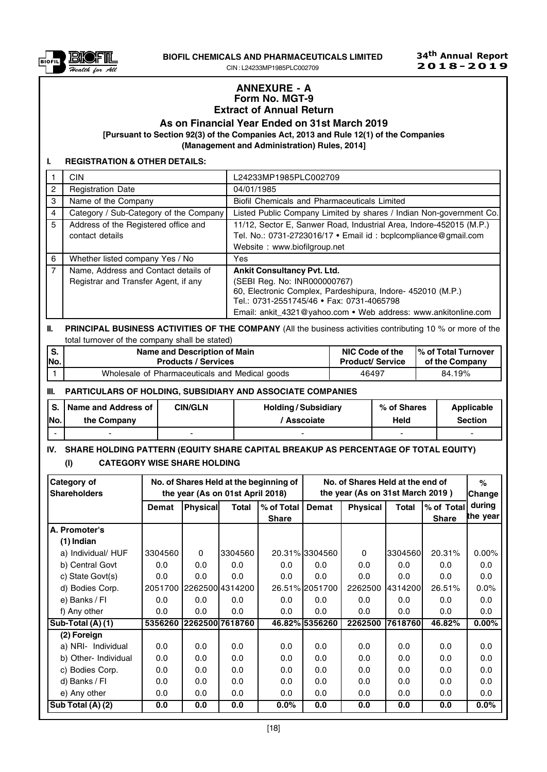

BIOFIL CHEMICALS AND PHARMACEUTICALS LIMITED

CIN : L24233MP1985PLC002709

### ANNEXURE - A Form No. MGT-9 Extract of Annual Return

As on Financial Year Ended on 31st March 2019

[Pursuant to Section 92(3) of the Companies Act, 2013 and Rule 12(1) of the Companies

(Management and Administration) Rules, 2014]

## I. REGISTRATION & OTHER DETAILS:

|                | <b>CIN</b>                                                                   | L24233MP1985PLC002709                                                                                                                                                                                                                            |
|----------------|------------------------------------------------------------------------------|--------------------------------------------------------------------------------------------------------------------------------------------------------------------------------------------------------------------------------------------------|
| 2              | <b>Registration Date</b>                                                     | 04/01/1985                                                                                                                                                                                                                                       |
| 3              | Name of the Company                                                          | Biofil Chemicals and Pharmaceuticals Limited                                                                                                                                                                                                     |
| 4              | Category / Sub-Category of the Company                                       | Listed Public Company Limited by shares / Indian Non-government Co.                                                                                                                                                                              |
| 5              | Address of the Registered office and<br>contact details                      | 11/12, Sector E, Sanwer Road, Industrial Area, Indore-452015 (M.P.)<br>Tel. No.: 0731-2723016/17 · Email id: bcplcompliance@gmail.com<br>Website: www.biofilgroup.net                                                                            |
| 6              | Whether listed company Yes / No                                              | Yes                                                                                                                                                                                                                                              |
| $\overline{7}$ | Name, Address and Contact details of<br>Registrar and Transfer Agent, if any | <b>Ankit Consultancy Pvt. Ltd.</b><br>(SEBI Reg. No: INR000000767)<br>60, Electronic Complex, Pardeshipura, Indore- 452010 (M.P.)<br>Tel.: 0731-2551745/46 • Fax: 0731-4065798<br>Email: ankit_4321@yahoo.com • Web address: www.ankitonline.com |

## II. PRINCIPAL BUSINESS ACTIVITIES OF THE COMPANY (All the business activities contributing 10 % or more of the total turnover of the company shall be stated)

| IS.  | Name and Description of Main                   | NIC Code of the        | <b>1% of Total Turnover</b> |
|------|------------------------------------------------|------------------------|-----------------------------|
| INo. | <b>Products / Services</b>                     | <b>Product/Service</b> | of the Company              |
|      | Wholesale of Pharmaceuticals and Medical goods | 46497                  | 84.19%                      |

## III. PARTICULARS OF HOLDING, SUBSIDIARY AND ASSOCIATE COMPANIES

|      | I S. I Name and Address of | <b>CIN/GLN</b> | <b>Holding/Subsidiary</b> | % of Shares | Applicable |
|------|----------------------------|----------------|---------------------------|-------------|------------|
| INo. | the Company                |                | ' Asscoiate               | Held        | Section    |
|      |                            |                |                           |             |            |

# IV. SHARE HOLDING PATTERN (EQUITY SHARE CAPITAL BREAKUP AS PERCENTAGE OF TOTAL EQUITY) (I) CATEGORY WISE SHARE HOLDING

| Category of          |         |                 |                                  | No. of Shares Held at the beginning of |                | No. of Shares Held at the end of |           |              | $\%$                    |
|----------------------|---------|-----------------|----------------------------------|----------------------------------------|----------------|----------------------------------|-----------|--------------|-------------------------|
| <b>Shareholders</b>  |         |                 | the year (As on 01st April 2018) |                                        |                | the year (As on 31st March 2019) |           |              | <b>Change</b><br>during |
|                      | Demat   | <b>Physical</b> | <b>Total</b>                     | % of Total                             | Demat          | <b>Physical</b>                  | Total     | % of Total   | the year                |
|                      |         |                 |                                  | <b>Share</b>                           |                |                                  |           | <b>Share</b> |                         |
| A. Promoter's        |         |                 |                                  |                                        |                |                                  |           |              |                         |
| (1) Indian           |         |                 |                                  |                                        |                |                                  |           |              |                         |
| a) Individual/ HUF   | 3304560 | $\Omega$        | 3304560                          |                                        | 20.31% 3304560 | $\Omega$                         | 3304560   | 20.31%       | 0.00%                   |
| b) Central Govt      | 0.0     | 0.0             | 0.0                              | 0.0                                    | 0.0            | 0.0                              | 0.0       | 0.0          | 0.0                     |
| c) State Govt(s)     | 0.0     | 0.0             | 0.0                              | 0.0                                    | 0.0            | 0.0                              | 0.0       | 0.0          | 0.0                     |
| d) Bodies Corp.      | 2051700 |                 | 1226250014314200                 |                                        | 26.51% 2051700 | 2262500                          | 143142001 | 26.51%       | 0.0%                    |
| e) Banks / Fl        | 0.0     | 0.0             | 0.0                              | 0.0                                    | 0.0            | 0.0                              | 0.0       | 0.0          | 0.0                     |
| f) Any other         | 0.0     | 0.0             | 0.0                              | 0.0                                    | 0.0            | 0.0                              | 0.0       | 0.0          | 0.0                     |
| Sub-Total (A) (1)    | 5356260 |                 | 2262500 7618760                  |                                        | 46.82% 5356260 | 2262500                          | 7618760   | 46.82%       | $0.00\%$                |
| (2) Foreign          |         |                 |                                  |                                        |                |                                  |           |              |                         |
| a) NRI- Individual   | 0.0     | 0.0             | 0.0                              | 0.0                                    | 0.0            | 0.0                              | 0.0       | 0.0          | 0.0                     |
| b) Other- Individual | 0.0     | 0.0             | 0.0                              | 0.0                                    | 0.0            | 0.0                              | 0.0       | 0.0          | 0.0                     |
| c) Bodies Corp.      | 0.0     | 0.0             | 0.0                              | 0.0                                    | 0.0            | 0.0                              | 0.0       | 0.0          | 0.0                     |
| d) Banks / Fl        | 0.0     | 0.0             | 0.0                              | 0.0                                    | 0.0            | 0.0                              | 0.0       | 0.0          | 0.0                     |
| e) Any other         | 0.0     | 0.0             | 0.0                              | 0.0                                    | 0.0            | 0.0                              | 0.0       | 0.0          | 0.0                     |
| Sub Total (A) (2)    | 0.0     | 0.0             | 0.0                              | $0.0\%$                                | 0.0            | 0.0                              | 0.0       | 0.0          | 0.0%                    |

34th Annual Report  $2018 - 2019$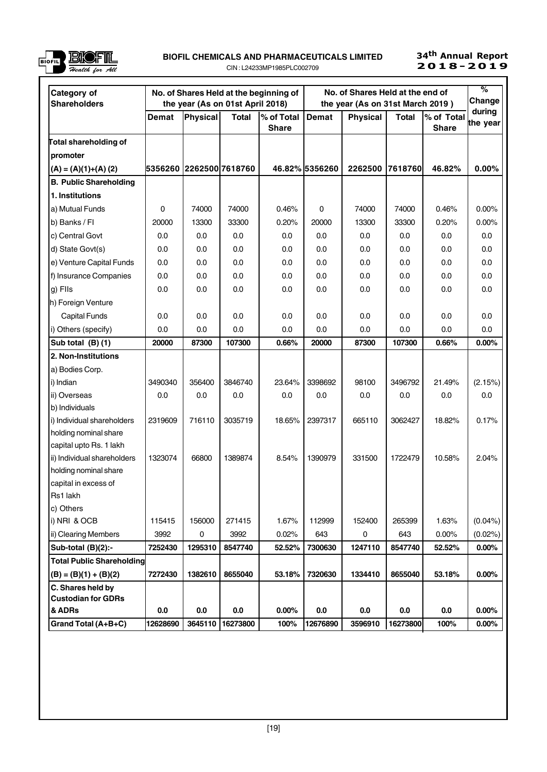

#### BIOFIL CHEMICALS AND PHARMACEUTICALS LIMITED CIN : L24233MP1985PLC002709  $\frac{15}{2018}$  BIOFIL CHEMICALS AND PHARMACEOTICALS LIMITED  $\frac{15}{2018}$  and  $\frac{2018}{2019}$

34<sup>th</sup> Annual Report

| Category of                                    |                          |          |                                                  | No. of Shares Held at the beginning of |                | No. of Shares Held at the end of                    |              |              | %<br>Change |
|------------------------------------------------|--------------------------|----------|--------------------------------------------------|----------------------------------------|----------------|-----------------------------------------------------|--------------|--------------|-------------|
| <b>Shareholders</b>                            | Demat                    | Physical | the year (As on 01st April 2018)<br><b>Total</b> | % of Total                             | <b>Demat</b>   | the year (As on 31st March 2019)<br><b>Physical</b> | <b>Total</b> | % of Total   | during      |
|                                                |                          |          |                                                  | <b>Share</b>                           |                |                                                     |              | <b>Share</b> | the year    |
| ∏otal shareholding of                          |                          |          |                                                  |                                        |                |                                                     |              |              |             |
| promoter                                       |                          |          |                                                  |                                        |                |                                                     |              |              |             |
| $(A) = (A)(1)+(A)(2)$                          | 5356260  2262500 7618760 |          |                                                  |                                        | 46.82% 5356260 | 2262500                                             | 7618760      | 46.82%       | $0.00\%$    |
| <b>B. Public Shareholding</b>                  |                          |          |                                                  |                                        |                |                                                     |              |              |             |
| 1. Institutions                                |                          |          |                                                  |                                        |                |                                                     |              |              |             |
| a) Mutual Funds                                | 0                        | 74000    | 74000                                            | 0.46%                                  | 0              | 74000                                               | 74000        | 0.46%        | 0.00%       |
| b) Banks / FI                                  | 20000                    | 13300    | 33300                                            | 0.20%                                  | 20000          | 13300                                               | 33300        | 0.20%        | 0.00%       |
| c) Central Govt                                | 0.0                      | 0.0      | 0.0                                              | 0.0                                    | 0.0            | 0.0                                                 | 0.0          | 0.0          | 0.0         |
| d) State Govt(s)                               | 0.0                      | 0.0      | 0.0                                              | 0.0                                    | 0.0            | 0.0                                                 | 0.0          | 0.0          | 0.0         |
| e) Venture Capital Funds                       | 0.0                      | 0.0      | 0.0                                              | 0.0                                    | 0.0            | 0.0                                                 | 0.0          | 0.0          | 0.0         |
| f) Insurance Companies                         | 0.0                      | 0.0      | 0.0                                              | 0.0                                    | 0.0            | 0.0                                                 | 0.0          | 0.0          | 0.0         |
| g) Flls                                        | 0.0                      | 0.0      | 0.0                                              | 0.0                                    | 0.0            | 0.0                                                 | 0.0          | 0.0          | 0.0         |
| h) Foreign Venture                             |                          |          |                                                  |                                        |                |                                                     |              |              |             |
| <b>Capital Funds</b>                           | 0.0                      | 0.0      | 0.0                                              | 0.0                                    | 0.0            | 0.0                                                 | 0.0          | 0.0          | 0.0         |
| i) Others (specify)                            | 0.0                      | 0.0      | 0.0                                              | 0.0                                    | 0.0            | 0.0                                                 | 0.0          | 0.0          | 0.0         |
| Sub total (B)(1)                               | 20000                    | 87300    | 107300                                           | 0.66%                                  | 20000          | 87300                                               | 107300       | 0.66%        | 0.00%       |
| 2. Non-Institutions                            |                          |          |                                                  |                                        |                |                                                     |              |              |             |
| a) Bodies Corp.                                |                          |          |                                                  |                                        |                |                                                     |              |              |             |
| i) Indian                                      | 3490340                  | 356400   | 3846740                                          | 23.64%                                 | 3398692        | 98100                                               | 3496792      | 21.49%       | (2.15%)     |
| ii) Overseas                                   | 0.0                      | 0.0      | 0.0                                              | 0.0                                    | 0.0            | 0.0                                                 | 0.0          | 0.0          | 0.0         |
| b) Individuals                                 |                          |          |                                                  |                                        |                |                                                     |              |              |             |
| i) Individual shareholders                     | 2319609                  | 716110   | 3035719                                          | 18.65%                                 | 2397317        | 665110                                              | 3062427      | 18.82%       | 0.17%       |
| holding nominal share                          |                          |          |                                                  |                                        |                |                                                     |              |              |             |
| capital upto Rs. 1 lakh                        |                          |          |                                                  |                                        |                |                                                     |              |              |             |
| ii) Individual shareholders                    | 1323074                  | 66800    | 1389874                                          | 8.54%                                  | 1390979        | 331500                                              | 1722479      | 10.58%       | 2.04%       |
| holding nominal share                          |                          |          |                                                  |                                        |                |                                                     |              |              |             |
| capital in excess of                           |                          |          |                                                  |                                        |                |                                                     |              |              |             |
| Rs1 lakh                                       |                          |          |                                                  |                                        |                |                                                     |              |              |             |
| c) Others                                      |                          |          |                                                  |                                        |                |                                                     |              |              |             |
| i) NRI & OCB                                   | 115415                   | 156000   | 271415                                           | 1.67%                                  | 112999         | 152400                                              | 265399       | 1.63%        | $(0.04\%)$  |
| ii) Clearing Members                           | 3992                     | 0        | 3992                                             | 0.02%                                  | 643            | 0                                                   | 643          | 0.00%        | $(0.02\%)$  |
| Sub-total (B)(2):-                             | 7252430                  | 1295310  | 8547740                                          | 52.52%                                 | 7300630        | 1247110                                             | 8547740      | 52.52%       | $0.00\%$    |
| <b>Total Public Shareholding</b>               |                          |          |                                                  |                                        |                |                                                     |              |              |             |
| $(B) = (B)(1) + (B)(2)$                        | 7272430                  | 1382610  | 8655040                                          | 53.18%                                 | 7320630        | 1334410                                             | 8655040      | 53.18%       | $0.00\%$    |
| C. Shares held by<br><b>Custodian for GDRs</b> |                          |          |                                                  |                                        |                |                                                     |              |              |             |
| & ADRs                                         | 0.0                      | 0.0      | $0.0\,$                                          | 0.00%                                  | 0.0            | 0.0                                                 | 0.0          | 0.0          | $0.00\%$    |
| Grand Total (A+B+C)                            | 12628690                 | 3645110  | 16273800                                         | 100%                                   | 12676890       | 3596910                                             | 16273800     | 100%         | $0.00\%$    |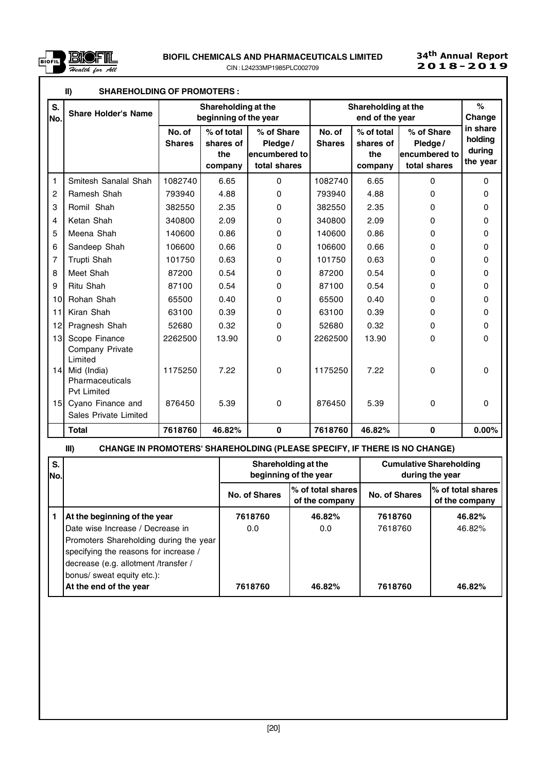

|                 | $\mathbf{II}$<br><b>SHAREHOLDING OF PROMOTERS:</b>   |                         |                                              |                                                         |                         |                                           |                                                        |                                           |
|-----------------|------------------------------------------------------|-------------------------|----------------------------------------------|---------------------------------------------------------|-------------------------|-------------------------------------------|--------------------------------------------------------|-------------------------------------------|
| S.<br>No.       | <b>Share Holder's Name</b>                           |                         | Shareholding at the<br>beginning of the year |                                                         |                         | Shareholding at the<br>end of the year    |                                                        | $\frac{9}{6}$<br>Change                   |
|                 |                                                      | No. of<br><b>Shares</b> | % of total<br>shares of<br>the<br>company    | % of Share<br>Pledge /<br>encumbered to<br>total shares | No. of<br><b>Shares</b> | % of total<br>shares of<br>the<br>company | % of Share<br>Pledge/<br>encumbered to<br>total shares | in share<br>holding<br>during<br>the year |
| 1               | Smitesh Sanalal Shah                                 | 1082740                 | 6.65                                         | $\Omega$                                                | 1082740                 | 6.65                                      | $\Omega$                                               | $\Omega$                                  |
| $\overline{c}$  | Ramesh Shah                                          | 793940                  | 4.88                                         | 0                                                       | 793940                  | 4.88                                      | 0                                                      | 0                                         |
| 3               | Romil Shah                                           | 382550                  | 2.35                                         | 0                                                       | 382550                  | 2.35                                      | 0                                                      | 0                                         |
| 4               | Ketan Shah                                           | 340800                  | 2.09                                         | 0                                                       | 340800                  | 2.09                                      | $\Omega$                                               | 0                                         |
| 5               | Meena Shah                                           | 140600                  | 0.86                                         | 0                                                       | 140600                  | 0.86                                      | $\Omega$                                               | 0                                         |
| 6               | Sandeep Shah                                         | 106600                  | 0.66                                         | 0                                                       | 106600                  | 0.66                                      | 0                                                      | 0                                         |
| 7               | Trupti Shah                                          | 101750                  | 0.63                                         | 0                                                       | 101750                  | 0.63                                      | 0                                                      | 0                                         |
| 8               | Meet Shah                                            | 87200                   | 0.54                                         | 0                                                       | 87200                   | 0.54                                      | 0                                                      | 0                                         |
| 9               | Ritu Shah                                            | 87100                   | 0.54                                         | 0                                                       | 87100                   | 0.54                                      | 0                                                      | 0                                         |
| 10 <sup>1</sup> | Rohan Shah                                           | 65500                   | 0.40                                         | 0                                                       | 65500                   | 0.40                                      | 0                                                      | 0                                         |
| 11              | Kiran Shah                                           | 63100                   | 0.39                                         | 0                                                       | 63100                   | 0.39                                      | 0                                                      | 0                                         |
| 12              | Pragnesh Shah                                        | 52680                   | 0.32                                         | 0                                                       | 52680                   | 0.32                                      | 0                                                      | $\mathbf 0$                               |
| 13              | Scope Finance<br>Company Private<br>Limited          | 2262500                 | 13.90                                        | 0                                                       | 2262500                 | 13.90                                     | 0                                                      | 0                                         |
| 14 <sup>1</sup> | Mid (India)<br>Pharmaceuticals<br><b>Pvt Limited</b> | 1175250                 | 7.22                                         | 0                                                       | 1175250                 | 7.22                                      | 0                                                      | 0                                         |
| 15 <sup>1</sup> | Cyano Finance and<br>Sales Private Limited           | 876450                  | 5.39                                         | 0                                                       | 876450                  | 5.39                                      | 0                                                      | 0                                         |
|                 | <b>Total</b>                                         | 7618760                 | 46.82%                                       | $\bf{0}$                                                | 7618760                 | 46.82%                                    | 0                                                      | $0.00\%$                                  |

# III) CHANGE IN PROMOTERS' SHAREHOLDING (PLEASE SPECIFY, IF THERE IS NO CHANGE)

| S.<br>No. |                                        | Shareholding at the<br>beginning of the year |                                        |               | <b>Cumulative Shareholding</b><br>during the year |  |
|-----------|----------------------------------------|----------------------------------------------|----------------------------------------|---------------|---------------------------------------------------|--|
|           |                                        | No. of Shares                                | l% of total shares I<br>of the company | No. of Shares | l% of total shares<br>of the company              |  |
|           | At the beginning of the year           | 7618760                                      | 46.82%                                 | 7618760       | 46.82%                                            |  |
|           | Date wise Increase / Decrease in       | 0.0                                          | 0.0                                    | 7618760       | 46.82%                                            |  |
|           | Promoters Shareholding during the year |                                              |                                        |               |                                                   |  |
|           | specifying the reasons for increase /  |                                              |                                        |               |                                                   |  |
|           | decrease (e.g. allotment /transfer /   |                                              |                                        |               |                                                   |  |
|           | bonus/ sweat equity etc.):             |                                              |                                        |               |                                                   |  |
|           | At the end of the year                 | 7618760                                      | 46.82%                                 | 7618760       | 46.82%                                            |  |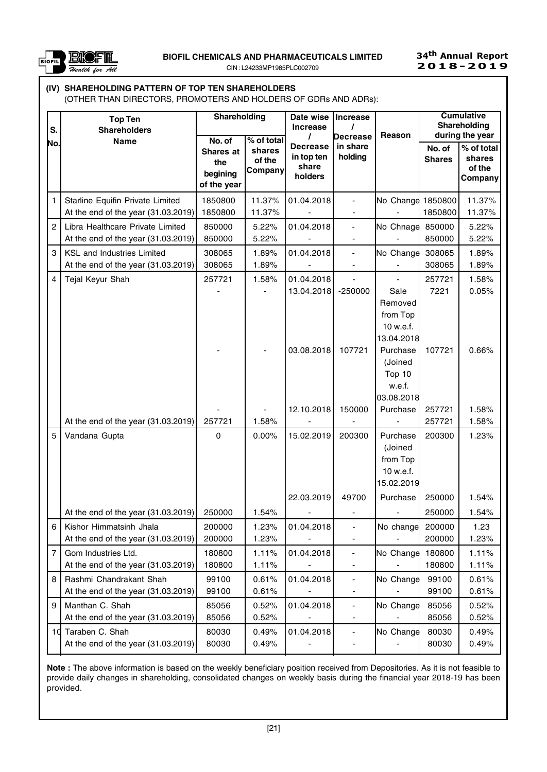

CIN : L24233MP1985PLC002709

## 34th Annual Report  $2018 - 2019$

# (IV) SHAREHOLDING PATTERN OF TOP TEN SHAREHOLDERS

(OTHER THAN DIRECTORS, PROMOTERS AND HOLDERS OF GDRs AND ADRs):

| S.             | <b>Top Ten</b><br><b>Shareholders</b>                                   | Shareholding<br>No. of                      | $\overline{\%}$ of total    | Date wise<br><b>Increase</b>                      | Increase<br>Decrease         | Reason                                                                 |                         | <b>Cumulative</b><br>Shareholding<br>during the year |
|----------------|-------------------------------------------------------------------------|---------------------------------------------|-----------------------------|---------------------------------------------------|------------------------------|------------------------------------------------------------------------|-------------------------|------------------------------------------------------|
| No.            | <b>Name</b>                                                             | Shares at<br>the<br>begining<br>of the year | shares<br>of the<br>Company | <b>Decrease</b><br>in top ten<br>share<br>holders | in share<br>holding          |                                                                        | No. of<br><b>Shares</b> | % of total<br>shares<br>of the<br>Company            |
| 1.             | Starline Equifin Private Limited<br>At the end of the year (31.03.2019) | 1850800<br>1850800                          | 11.37%<br>11.37%            | 01.04.2018                                        |                              | No Change                                                              | 1850800<br>1850800      | 11.37%<br>11.37%                                     |
| $\overline{2}$ | Libra Healthcare Private Limited                                        | 850000                                      | 5.22%                       | 01.04.2018                                        | $\qquad \qquad \blacksquare$ | No Chnage                                                              | 850000                  | 5.22%                                                |
|                | At the end of the year (31.03.2019)                                     | 850000                                      | 5.22%                       |                                                   |                              |                                                                        | 850000                  | 5.22%                                                |
| 3              | KSL and Industries Limited<br>At the end of the year (31.03.2019)       | 308065<br>308065                            | 1.89%<br>1.89%              | 01.04.2018                                        | $\blacksquare$               | No Change                                                              | 308065<br>308065        | 1.89%<br>1.89%                                       |
| 4              | Tejal Keyur Shah                                                        | 257721                                      | 1.58%                       | 01.04.2018                                        |                              |                                                                        | 257721                  | 1.58%                                                |
|                |                                                                         |                                             |                             | 13.04.2018<br>03.08.2018                          | $-250000$<br>107721          | Sale<br>Removed<br>from Top<br>10 w.e.f.<br>13.04.2018<br>Purchase     | 7221<br>107721          | 0.05%<br>0.66%                                       |
|                | At the end of the year (31.03.2019)                                     | 257721                                      | 1.58%                       | 12.10.2018                                        | 150000                       | (Joined<br>Top 10<br>w.e.f.<br>03.08.2018<br>Purchase                  | 257721<br>257721        | 1.58%<br>1.58%                                       |
| 5              | Vandana Gupta                                                           | 0                                           | 0.00%                       | 15.02.2019<br>22.03.2019                          | 200300<br>49700              | Purchase<br>(Joined<br>from Top<br>10 w.e.f.<br>15.02.2019<br>Purchase | 200300<br>250000        | 1.23%<br>1.54%                                       |
|                | At the end of the year (31.03.2019)                                     | 250000                                      | 1.54%                       |                                                   |                              |                                                                        | 250000                  | 1.54%                                                |
| 6              | Kishor Himmatsinh Jhala<br>At the end of the year (31.03.2019)          | 200000<br>200000                            | 1.23%<br>1.23%              | 01.04.2018                                        | $\qquad \qquad \blacksquare$ | No change                                                              | 200000<br>200000        | 1.23<br>1.23%                                        |
| $\overline{7}$ | Gom Industries Ltd.                                                     | 180800                                      | 1.11%                       | 01.04.2018                                        | $\overline{\phantom{a}}$     | No Change                                                              | 180800                  | 1.11%                                                |
|                | At the end of the year (31.03.2019)                                     | 180800                                      | 1.11%                       |                                                   |                              |                                                                        | 180800                  | 1.11%                                                |
| 8              | Rashmi Chandrakant Shah<br>At the end of the year (31.03.2019)          | 99100<br>99100                              | 0.61%<br>0.61%              | 01.04.2018                                        | $\overline{\phantom{a}}$     | No Change                                                              | 99100<br>99100          | 0.61%<br>0.61%                                       |
| 9              | Manthan C. Shah<br>At the end of the year (31.03.2019)                  | 85056<br>85056                              | 0.52%<br>0.52%              | 01.04.2018                                        | $\qquad \qquad \blacksquare$ | No Change                                                              | 85056<br>85056          | 0.52%<br>0.52%                                       |
|                | 10 Taraben C. Shah<br>At the end of the year (31.03.2019)               | 80030<br>80030                              | 0.49%<br>0.49%              | 01.04.2018                                        |                              | No Change                                                              | 80030<br>80030          | 0.49%<br>0.49%                                       |

Note : The above information is based on the weekly beneficiary position received from Depositories. As it is not feasible to provide daily changes in shareholding, consolidated changes on weekly basis during the financial year 2018-19 has been provided.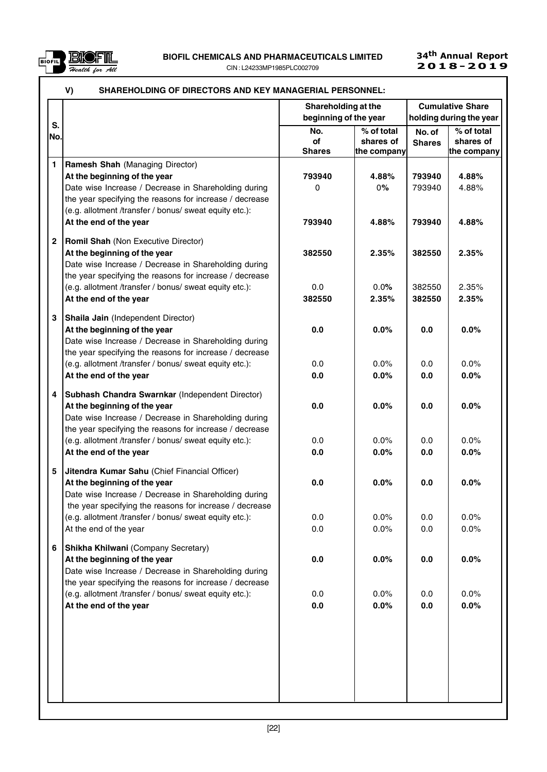

| S.           |                                                                                                                                                                                                                                              | Shareholding at the<br>beginning of the year |                                        |                         | <b>Cumulative Share</b><br>holding during the year |
|--------------|----------------------------------------------------------------------------------------------------------------------------------------------------------------------------------------------------------------------------------------------|----------------------------------------------|----------------------------------------|-------------------------|----------------------------------------------------|
| No.          |                                                                                                                                                                                                                                              | No.<br>of<br><b>Shares</b>                   | % of total<br>shares of<br>the company | No. of<br><b>Shares</b> | % of total<br>shares of<br>the company             |
| 1            | Ramesh Shah (Managing Director)<br>At the beginning of the year<br>Date wise Increase / Decrease in Shareholding during<br>the year specifying the reasons for increase / decrease<br>(e.g. allotment /transfer / bonus/ sweat equity etc.): | 793940<br>$\Omega$                           | 4.88%<br>0%                            | 793940<br>793940        | 4.88%<br>4.88%                                     |
|              | At the end of the year                                                                                                                                                                                                                       | 793940                                       | 4.88%                                  | 793940                  | 4.88%                                              |
| $\mathbf{2}$ | Romil Shah (Non Executive Director)<br>At the beginning of the year<br>Date wise Increase / Decrease in Shareholding during<br>the year specifying the reasons for increase / decrease                                                       | 382550                                       | 2.35%                                  | 382550                  | 2.35%                                              |
|              | (e.g. allotment /transfer / bonus/ sweat equity etc.):<br>At the end of the year                                                                                                                                                             | 0.0<br>382550                                | 0.0%<br>2.35%                          | 382550<br>382550        | 2.35%<br>2.35%                                     |
| 3            | Shaila Jain (Independent Director)<br>At the beginning of the year<br>Date wise Increase / Decrease in Shareholding during<br>the year specifying the reasons for increase / decrease                                                        | 0.0                                          | 0.0%                                   | 0.0                     | 0.0%                                               |
|              | (e.g. allotment /transfer / bonus/ sweat equity etc.):<br>At the end of the year                                                                                                                                                             | 0.0<br>0.0                                   | 0.0%<br>0.0%                           | 0.0<br>0.0              | 0.0%<br>0.0%                                       |
| 4            | Subhash Chandra Swarnkar (Independent Director)<br>At the beginning of the year<br>Date wise Increase / Decrease in Shareholding during<br>the year specifying the reasons for increase / decrease                                           | 0.0                                          | 0.0%                                   | 0.0                     | 0.0%                                               |
|              | (e.g. allotment /transfer / bonus/ sweat equity etc.):<br>At the end of the year                                                                                                                                                             | 0.0<br>0.0                                   | 0.0%<br>0.0%                           | 0.0<br>0.0              | 0.0%<br>0.0%                                       |
| 5            | Jitendra Kumar Sahu (Chief Financial Officer)<br>At the beginning of the year<br>Date wise Increase / Decrease in Shareholding during<br>the year specifying the reasons for increase / decrease                                             | 0.0                                          | 0.0%                                   | 0.0                     | 0.0%                                               |
|              | (e.g. allotment /transfer / bonus/ sweat equity etc.):<br>At the end of the year                                                                                                                                                             | 0.0<br>0.0                                   | 0.0%<br>0.0%                           | 0.0<br>0.0              | 0.0%<br>0.0%                                       |
| 6            | Shikha Khilwani (Company Secretary)<br>At the beginning of the year<br>Date wise Increase / Decrease in Shareholding during<br>the year specifying the reasons for increase / decrease                                                       | 0.0                                          | 0.0%                                   | 0.0                     | 0.0%                                               |
|              | (e.g. allotment /transfer / bonus/ sweat equity etc.):<br>At the end of the year                                                                                                                                                             | 0.0<br>0.0                                   | 0.0%<br>0.0%                           | 0.0<br>0.0              | 0.0%<br>0.0%                                       |
|              |                                                                                                                                                                                                                                              |                                              |                                        |                         |                                                    |
|              |                                                                                                                                                                                                                                              |                                              |                                        |                         |                                                    |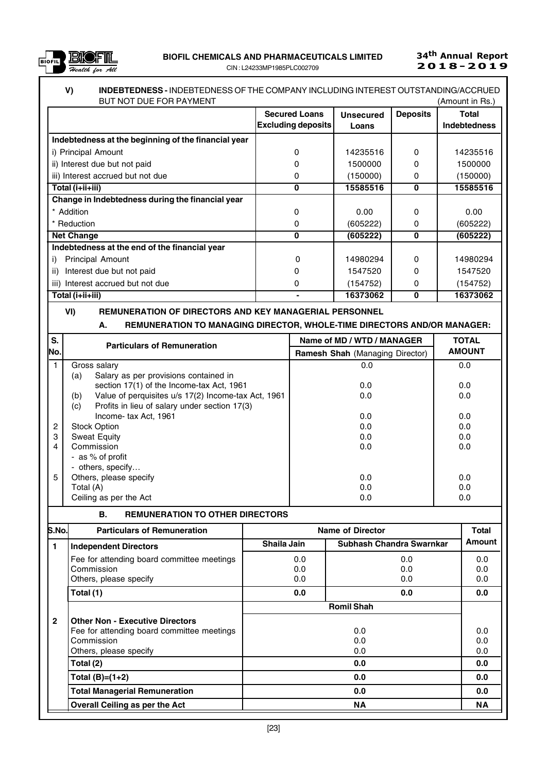

### V) INDEBTEDNESS - INDEBTEDNESS OF THE COMPANY INCLUDING INTEREST OUTSTANDING/ACCRUED BUT NOT DUE FOR PAYMENT **All and the CONTROL** CONTROL CONTROL CONTROL CONTROL CONTROL CONTROL CONTROL CONTROL CONTROL CONTROL CONTROL CONTROL CONTROL CONTROL CONTROL CONTROL CONTROL CONTROL CONTROL CONTROL CONTROL CONTROL

| BUT NOT DUE FOR PAYMENT                             |                           |                  |                 | (Amount in Rs.)     |
|-----------------------------------------------------|---------------------------|------------------|-----------------|---------------------|
|                                                     | <b>Secured Loans</b>      | <b>Unsecured</b> | <b>Deposits</b> | Total               |
|                                                     | <b>Excluding deposits</b> | Loans            |                 | <b>Indebtedness</b> |
| Indebtedness at the beginning of the financial year |                           |                  |                 |                     |
| i) Principal Amount                                 | 0                         | 14235516         | 0               | 14235516            |
| ii) Interest due but not paid                       |                           | 1500000          | 0               | 1500000             |
| iii) Interest accrued but not due                   | O                         | (150000)         | 0               | (150000)            |
| Total (i+ii+iii)                                    | 0                         | 15585516         | $\bf{0}$        | 15585516            |
| Change in Indebtedness during the financial year    |                           |                  |                 |                     |
| * Addition                                          | 0                         | 0.00             | $\Omega$        | 0.00                |
| * Reduction                                         | 0                         | (605222)         | 0               | (605222)            |
| <b>Net Change</b>                                   | $\bf{0}$                  | (605222)         | 0               | (605222)            |
| Indebtedness at the end of the financial year       |                           |                  |                 |                     |
| <b>Principal Amount</b><br>i)                       | 0                         | 14980294         | $\Omega$        | 14980294            |
| Interest due but not paid<br>ii)                    | o                         | 1547520          | 0               | 1547520             |
| iii) Interest accrued but not due                   | 0                         | (154752)         | 0               | (154752)            |
| Total (i+ii+iii)                                    |                           | 16373062         | 0               | 16373062            |

## VI) REMUNERATION OF DIRECTORS AND KEY MANAGERIAL PERSONNEL

### A. REMUNERATION TO MANAGING DIRECTOR, WHOLE-TIME DIRECTORS AND/OR MANAGER:

| $\overline{\mathbf{s}}$ . | <b>Particulars of Remuneration</b>                         | Name of MD / WTD / MANAGER             | <b>TOTAL</b>  |
|---------------------------|------------------------------------------------------------|----------------------------------------|---------------|
| No.                       |                                                            | <b>Ramesh Shah</b> (Managing Director) | <b>AMOUNT</b> |
|                           | Gross salary                                               | 0.0                                    | 0.0           |
|                           | Salary as per provisions contained in<br>(a)               |                                        |               |
|                           | section 17(1) of the Income-tax Act, 1961                  | 0.0                                    | 0.0           |
|                           | Value of perquisites u/s 17(2) Income-tax Act, 1961<br>(b) | 0.0                                    | 0.0           |
|                           | Profits in lieu of salary under section 17(3)<br>(c)       |                                        |               |
|                           | Income- tax Act, 1961                                      | 0.0                                    | 0.0           |
| 2                         | <b>Stock Option</b>                                        | 0.0                                    | 0.0           |
| 3                         | Sweat Equity                                               | 0.0                                    | 0.0           |
| 4                         | Commission                                                 | 0.0                                    | 0.0           |
|                           | - as % of profit                                           |                                        |               |
|                           | - others, specify                                          |                                        |               |
| 5                         | Others, please specify                                     | 0.0                                    | 0.0           |
|                           | Total (A)                                                  | 0.0                                    | 0.0           |
|                           | Ceiling as per the Act                                     | 0.0                                    | 0.0           |

#### B. REMUNERATION TO OTHER DIRECTORS

| S.No.          | <b>Particulars of Remuneration</b>         |             | <b>Name of Director</b>  | Total  |
|----------------|--------------------------------------------|-------------|--------------------------|--------|
| $\blacksquare$ | <b>Independent Directors</b>               | Shaila Jain | Subhash Chandra Swarnkar | Amount |
|                | Fee for attending board committee meetings | 0.0         | 0.0                      | 0.0    |
|                | Commission                                 | 0.0         | 0.0                      | 0.0    |
|                | Others, please specify                     | 0.0         | 0.0                      | 0.0    |
|                | Total (1)                                  | 0.0         | 0.0                      | 0.0    |
|                |                                            |             | <b>Romil Shah</b>        |        |
| $\mathbf{2}$   | <b>Other Non - Executive Directors</b>     |             |                          |        |
|                | Fee for attending board committee meetings |             | 0.0                      | 0.0    |
|                | Commission                                 |             | 0.0                      | 0.0    |
|                | Others, please specify                     |             | 0.0                      | 0.0    |
|                | Total (2)                                  |             | 0.0                      | 0.0    |
|                | Total $(B)=(1+2)$                          |             | 0.0                      | 0.0    |
|                | <b>Total Managerial Remuneration</b>       |             | 0.0                      | 0.0    |
|                | Overall Ceiling as per the Act             |             | <b>NA</b>                | ΝA     |